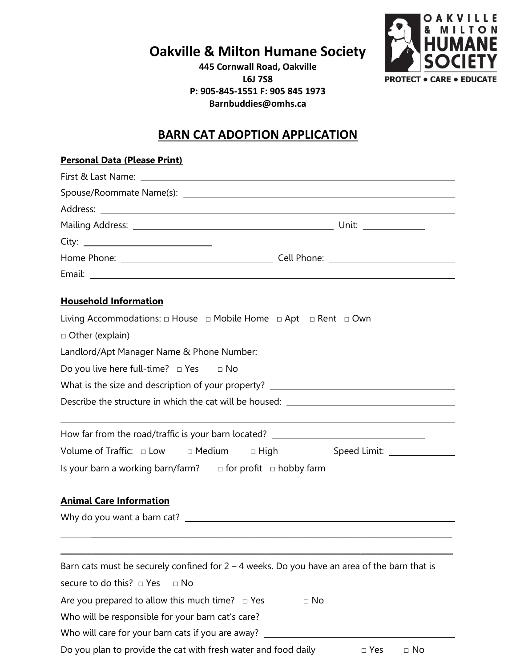**Oakville & Milton Humane Society**

**445 Cornwall Road, Oakville L6J 7S8 P: 905-845-1551 F: 905 845 1973 Barnbuddies@omhs.ca**



## **BARN CAT ADOPTION APPLICATION**

| <b>Personal Data (Please Print)</b>                                                                                                                                   |                                                                                                |  |  |  |  |  |
|-----------------------------------------------------------------------------------------------------------------------------------------------------------------------|------------------------------------------------------------------------------------------------|--|--|--|--|--|
|                                                                                                                                                                       |                                                                                                |  |  |  |  |  |
|                                                                                                                                                                       |                                                                                                |  |  |  |  |  |
|                                                                                                                                                                       |                                                                                                |  |  |  |  |  |
|                                                                                                                                                                       |                                                                                                |  |  |  |  |  |
|                                                                                                                                                                       |                                                                                                |  |  |  |  |  |
|                                                                                                                                                                       |                                                                                                |  |  |  |  |  |
| <b>Household Information</b>                                                                                                                                          |                                                                                                |  |  |  |  |  |
| Living Accommodations: $\Box$ House $\Box$ Mobile Home $\Box$ Apt $\Box$ Rent $\Box$ Own                                                                              |                                                                                                |  |  |  |  |  |
|                                                                                                                                                                       | $\Box$ Other (explain) $\Box$                                                                  |  |  |  |  |  |
|                                                                                                                                                                       |                                                                                                |  |  |  |  |  |
| Do you live here full-time? $\Box$ Yes $\Box$ No                                                                                                                      |                                                                                                |  |  |  |  |  |
| What is the size and description of your property? _____________________________<br>Describe the structure in which the cat will be housed: _________________________ |                                                                                                |  |  |  |  |  |
|                                                                                                                                                                       |                                                                                                |  |  |  |  |  |
| Volume of Traffic: $\Box$ Low $\Box$ Medium $\Box$ High                                                                                                               | Speed Limit: _______________                                                                   |  |  |  |  |  |
| Is your barn a working barn/farm? $\Box$ for profit $\Box$ hobby farm                                                                                                 |                                                                                                |  |  |  |  |  |
| <b>Animal Care Information</b>                                                                                                                                        |                                                                                                |  |  |  |  |  |
|                                                                                                                                                                       |                                                                                                |  |  |  |  |  |
|                                                                                                                                                                       |                                                                                                |  |  |  |  |  |
|                                                                                                                                                                       | Barn cats must be securely confined for $2 - 4$ weeks. Do you have an area of the barn that is |  |  |  |  |  |
| secure to do this? $\Box$ Yes<br>$\Box$ No                                                                                                                            |                                                                                                |  |  |  |  |  |
| Are you prepared to allow this much time? $\Box$ Yes                                                                                                                  | $\Box$ No                                                                                      |  |  |  |  |  |
|                                                                                                                                                                       | Who will be responsible for your barn cat's care? ______________________________               |  |  |  |  |  |
|                                                                                                                                                                       | Who will care for your barn cats if you are away? ______________________________               |  |  |  |  |  |
| Do you plan to provide the cat with fresh water and food daily                                                                                                        | $\Box$ Yes<br>$\Box$ No                                                                        |  |  |  |  |  |